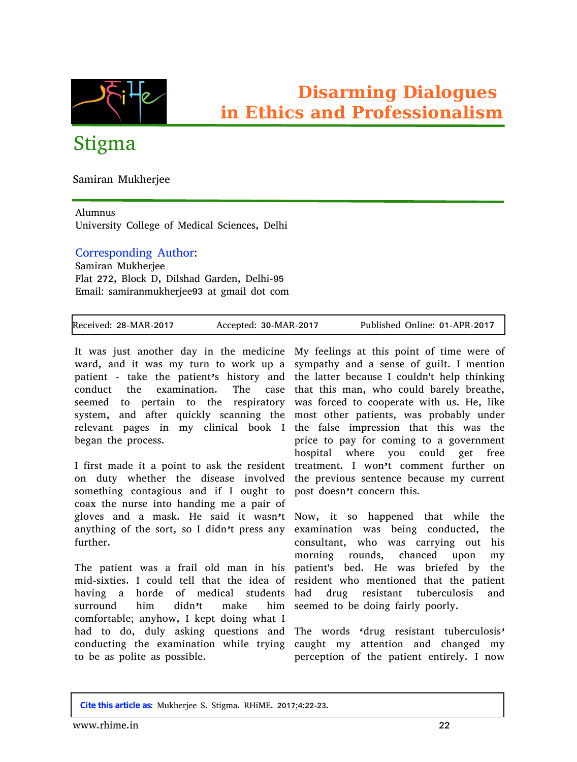

## Stigma

Samiran Mukherjee

## Alumnus

University College of Medical Sciences, Delhi

## Corresponding Author:

Samiran Mukherjee Flat 272, Block D, Dilshad Garden, Delhi-95 Email: samiranmukherjee93 at gmail dot com

| Received: 28-MAR-2017 | Accepted: 30-MAR-2017 | Published Online: 01-APR-2017 |
|-----------------------|-----------------------|-------------------------------|

It was just another day in the medicine My feelings at this point of time were of ward, and it was my turn to work up a sympathy and a sense of guilt. I mention patient - take the patient's history and conduct the examination. The case seemed to pertain to the respiratory system, and after quickly scanning the most other patients, was probably under relevant pages in my clinical book I began the process.

I first made it a point to ask the resident on duty whether the disease involved something contagious and if I ought to post doesn't concern this. coax the nurse into handing me a pair of gloves and a mask. He said it wasn't Now, it so happened that while the anything of the sort, so I didn't press any further.

The patient was a frail old man in his mid-sixties. I could tell that the idea of having a horde of medical students surround him didn't make him comfortable; anyhow, I kept doing what I had to do, duly asking questions and conducting the examination while trying caught my attention and changed my to be as polite as possible.

the latter because I couldn't help thinking that this man, who could barely breathe, was forced to cooperate with us. He, like the false impression that this was the price to pay for coming to a government hospital where you could get free treatment. I won't comment further on the previous sentence because my current

examination was being conducted, the consultant, who was carrying out his morning rounds, chanced upon my patient's bed. He was briefed by the resident who mentioned that the patient had drug resistant tuberculosis and seemed to be doing fairly poorly.

The words 'drug resistant tuberculosis' perception of the patient entirely. I now

**Cite this article as**: Mukherjee S. Stigma. RHiME. 2017;4:22-23.